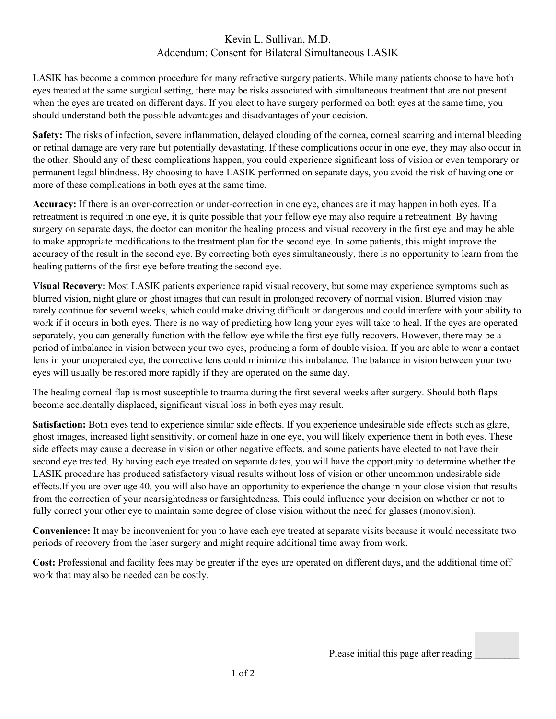## Kevin L. Sullivan, M.D. Addendum: Consent for Bilateral Simultaneous LASIK

LASIK has become a common procedure for many refractive surgery patients. While many patients choose to have both eyes treated at the same surgical setting, there may be risks associated with simultaneous treatment that are not present when the eyes are treated on different days. If you elect to have surgery performed on both eyes at the same time, you should understand both the possible advantages and disadvantages of your decision.

**Safety:** The risks of infection, severe inflammation, delayed clouding of the cornea, corneal scarring and internal bleeding or retinal damage are very rare but potentially devastating. If these complications occur in one eye, they may also occur in the other. Should any of these complications happen, you could experience significant loss of vision or even temporary or permanent legal blindness. By choosing to have LASIK performed on separate days, you avoid the risk of having one or more of these complications in both eyes at the same time.

**Accuracy:** If there is an over-correction or under-correction in one eye, chances are it may happen in both eyes. If a retreatment is required in one eye, it is quite possible that your fellow eye may also require a retreatment. By having surgery on separate days, the doctor can monitor the healing process and visual recovery in the first eye and may be able to make appropriate modifications to the treatment plan for the second eye. In some patients, this might improve the accuracy of the result in the second eye. By correcting both eyes simultaneously, there is no opportunity to learn from the healing patterns of the first eye before treating the second eye.

**Visual Recovery:** Most LASIK patients experience rapid visual recovery, but some may experience symptoms such as blurred vision, night glare or ghost images that can result in prolonged recovery of normal vision. Blurred vision may rarely continue for several weeks, which could make driving difficult or dangerous and could interfere with your ability to work if it occurs in both eyes. There is no way of predicting how long your eyes will take to heal. If the eyes are operated separately, you can generally function with the fellow eye while the first eye fully recovers. However, there may be a period of imbalance in vision between your two eyes, producing a form of double vision. If you are able to wear a contact lens in your unoperated eye, the corrective lens could minimize this imbalance. The balance in vision between your two eyes will usually be restored more rapidly if they are operated on the same day.

The healing corneal flap is most susceptible to trauma during the first several weeks after surgery. Should both flaps become accidentally displaced, significant visual loss in both eyes may result.

**Satisfaction:** Both eyes tend to experience similar side effects. If you experience undesirable side effects such as glare, ghost images, increased light sensitivity, or corneal haze in one eye, you will likely experience them in both eyes. These side effects may cause a decrease in vision or other negative effects, and some patients have elected to not have their second eye treated. By having each eye treated on separate dates, you will have the opportunity to determine whether the LASIK procedure has produced satisfactory visual results without loss of vision or other uncommon undesirable side effects.If you are over age 40, you will also have an opportunity to experience the change in your close vision that results from the correction of your nearsightedness or farsightedness. This could influence your decision on whether or not to fully correct your other eye to maintain some degree of close vision without the need for glasses (monovision).

**Convenience:** It may be inconvenient for you to have each eye treated at separate visits because it would necessitate two periods of recovery from the laser surgery and might require additional time away from work.

**Cost:** Professional and facility fees may be greater if the eyes are operated on different days, and the additional time off work that may also be needed can be costly.